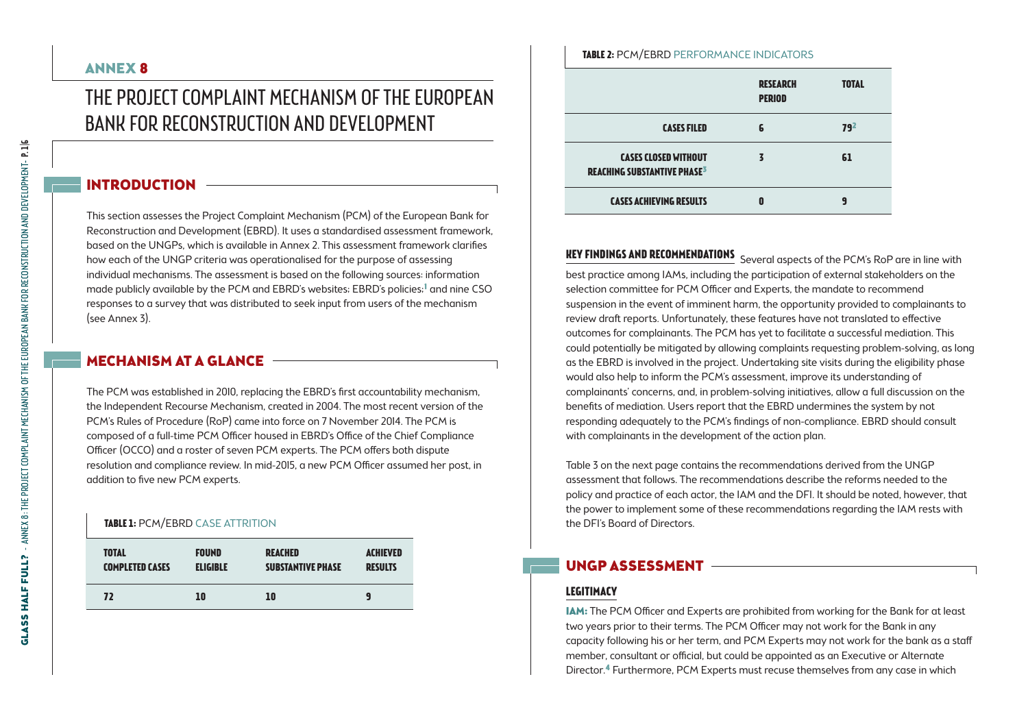### ANNEX 8

# THE PROJECT COMPLAINT MECHANISM OF THE EUROPEAN Bank for Reconstruction and Development

### INTRODUCTION

This section assesses the Project Complaint Mechanism (PCM) of the European Bank for Reconstruction and Development (EBRD). It uses a standardised assessment framework, based on the UNGPs, which is available in Annex 2. This assessment framework clarifies how each of the UNGP criteria was operationalised for the purpose of assessing individual mechanisms. The assessment is based on the following sources: information made publicly available by the PCM and EBRD's websites; EBRD's policies;<sup>1</sup> and nine CSO responses to a survey that was distributed to seek input from users of the mechanism (see Annex 3).

### MECHANISM AT A GLANCE -

The PCM was established in 2010, replacing the EBRD's first accountability mechanism, the Independent Recourse Mechanism, created in 2004. The most recent version of the PCM's Rules of Procedure (RoP) came into force on 7 November 2014. The PCM is composed of a full-time PCM Officer housed in EBRD's Office of the Chief Compliance Officer (OCCO) and a roster of seven PCM experts. The PCM offers both dispute resolution and compliance review. In mid-2015, a new PCM Officer assumed her post, in addition to five new PCM experts.

#### **TABLE 1: PCM/EBRD CASE ATTRITION**

| <b>TOTAL</b>           | <b>FOUND</b>    | <b>REACHED</b>           | <b>ACHIEVED</b> |
|------------------------|-----------------|--------------------------|-----------------|
| <b>COMPLETED CASES</b> | <b>ELIGIBLE</b> | <b>SUBSTANTIVE PHASE</b> | <b>RESULTS</b>  |
| 72                     | 10              | 10                       | 9               |

## **RESEARCH total Table 2:** PCM/EBRD Performance indicators

|                                                                              | ---------<br><b>PERIOD</b> | .               |
|------------------------------------------------------------------------------|----------------------------|-----------------|
| <b>CASES FILED</b>                                                           |                            | 79 <sup>2</sup> |
| <b>CASES CLOSED WITHOUT</b><br><b>REACHING SUBSTANTIVE PHASE<sup>3</sup></b> |                            | 61              |
| <b>CASES ACHIEVING RESULTS</b>                                               |                            | q               |

**Key findings and recommendations** Several aspects of the PCM's RoP are in line with best practice among IAMs, including the participation of external stakeholders on the selection committee for PCM Officer and Experts, the mandate to recommend suspension in the event of imminent harm, the opportunity provided to complainants to review draft reports. Unfortunately, these features have not translated to effective outcomes for complainants. The PCM has yet to facilitate a successful mediation. This could potentially be mitigated by allowing complaints requesting problem-solving, as long as the EBRD is involved in the project. Undertaking site visits during the eligibility phase would also help to inform the PCM's assessment, improve its understanding of complainants' concerns, and, in problem-solving initiatives, allow a full discussion on the benefits of mediation. Users report that the EBRD undermines the system by not responding adequately to the PCM's findings of non-compliance. EBRD should consult with complainants in the development of the action plan.

Table 3 on the next page contains the recommendations derived from the UNGP assessment that follows. The recommendations describe the reforms needed to the policy and practice of each actor, the IAM and the DFI. It should be noted, however, that the power to implement some of these recommendations regarding the IAM rests with the DFI's Board of Directors.

### UNGP Assessment

# **Legitimacy**

IAM: The PCM Officer and Experts are prohibited from working for the Bank for at least two years prior to their terms. The PCM Officer may not work for the Bank in any capacity following his or her term, and PCM Experts may not work for the bank as a staff member, consultant or official, but could be appointed as an Executive or Alternate Director.4 Furthermore, PCM Experts must recuse themselves from any case in which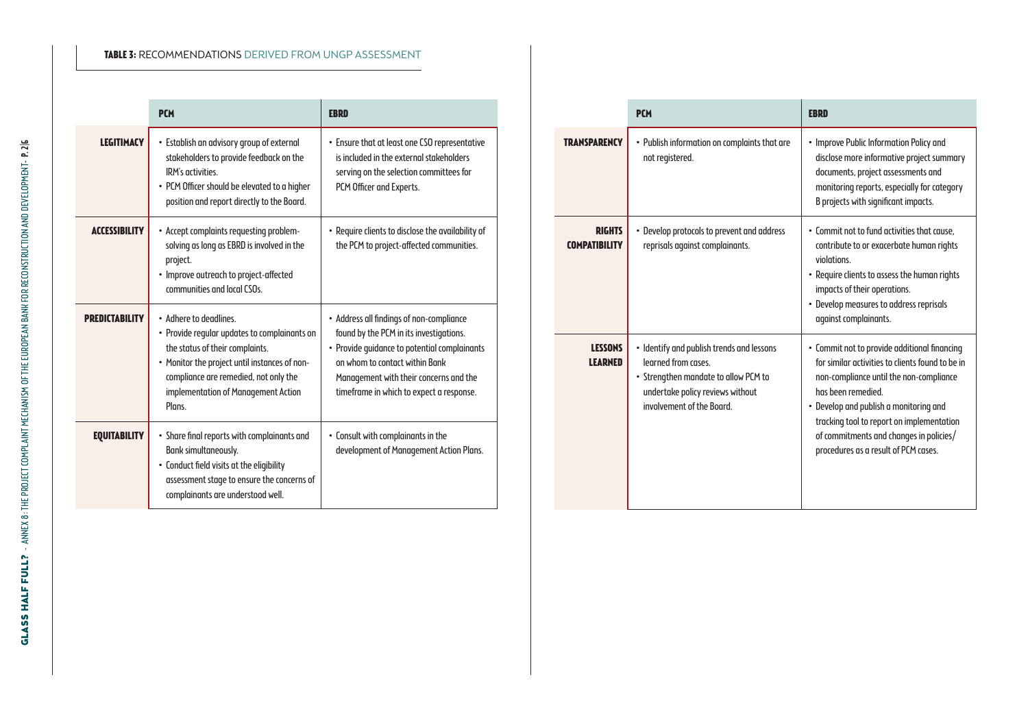#### **Table 3:** Recommendations derived from UNGP assessment

|                       | <b>PCM</b>                                                                                                                                                                                                                                           | <b>EBRD</b>                                                                                                                                                                                                                                                 |
|-----------------------|------------------------------------------------------------------------------------------------------------------------------------------------------------------------------------------------------------------------------------------------------|-------------------------------------------------------------------------------------------------------------------------------------------------------------------------------------------------------------------------------------------------------------|
| <b>LEGITIMACY</b>     | · Establish an advisory group of external<br>stakeholders to provide feedback on the<br>IRM's activities.<br>• PCM Officer should be elevated to a higher<br>position and report directly to the Board.                                              | • Ensure that at least one CSO representative<br>is included in the external stakeholders<br>serving on the selection committees for<br>PCM Officer and Experts.                                                                                            |
| <b>ACCESSIBILITY</b>  | • Accept complaints requesting problem-<br>solving as long as EBRD is involved in the<br>project.<br>• Improve outreach to project-affected<br>communities and local CSOs.                                                                           | . Require clients to disclose the availability of<br>the PCM to project-affected communities.                                                                                                                                                               |
| <b>PREDICTABILITY</b> | . Adhere to deadlines.<br>• Provide regular updates to complainants on<br>the status of their complaints.<br>• Monitor the project until instances of non-<br>compliance are remedied, not only the<br>implementation of Management Action<br>Plans. | • Address all findings of non-compliance<br>found by the PCM in its investigations.<br>• Provide quidance to potential complainants<br>on whom to contact within Bank<br>Management with their concerns and the<br>timeframe in which to expect a response. |
| <b>EQUITABILITY</b>   | • Share final reports with complainants and<br>Bank simultaneously.<br>• Conduct field visits at the eligibility<br>assessment stage to ensure the concerns of<br>complainants are understood well.                                                  | • Consult with complainants in the<br>development of Management Action Plans.                                                                                                                                                                               |

|                                       | <b>PCM</b>                                                                                                                                                                | <b>EBRD</b>                                                                                                                                                                                                                                                                                                                                 |
|---------------------------------------|---------------------------------------------------------------------------------------------------------------------------------------------------------------------------|---------------------------------------------------------------------------------------------------------------------------------------------------------------------------------------------------------------------------------------------------------------------------------------------------------------------------------------------|
| <b>TRANSPARENCY</b>                   | • Publish information on complaints that are<br>not registered.                                                                                                           | • Improve Public Information Policy and<br>disclose more informative project summary<br>documents, project assessments and<br>monitoring reports, especially for category<br>B projects with significant impacts.                                                                                                                           |
| <b>RIGHTS</b><br><b>COMPATIBILITY</b> | • Develop protocols to prevent and address<br>reprisals against complainants.                                                                                             | . Commit not to fund activities that cause.<br>contribute to or exacerbate human rights<br>violations<br>• Require clients to assess the human rights<br>impacts of their operations.<br>• Develop measures to address reprisals<br>against complainants.                                                                                   |
| <b>LESSONS</b><br><b>LEARNED</b>      | • Identify and publish trends and lessons<br>learned from cases.<br>• Strengthen mandate to allow PCM to<br>undertake policy reviews without<br>involvement of the Board. | • Commit not to provide additional financing<br>for similar activities to clients found to be in<br>non-compliance until the non-compliance<br>has been remedied.<br>• Develop and publish a monitoring and<br>tracking tool to report on implementation<br>of commitments and changes in policies/<br>procedures as a result of PCM cases. |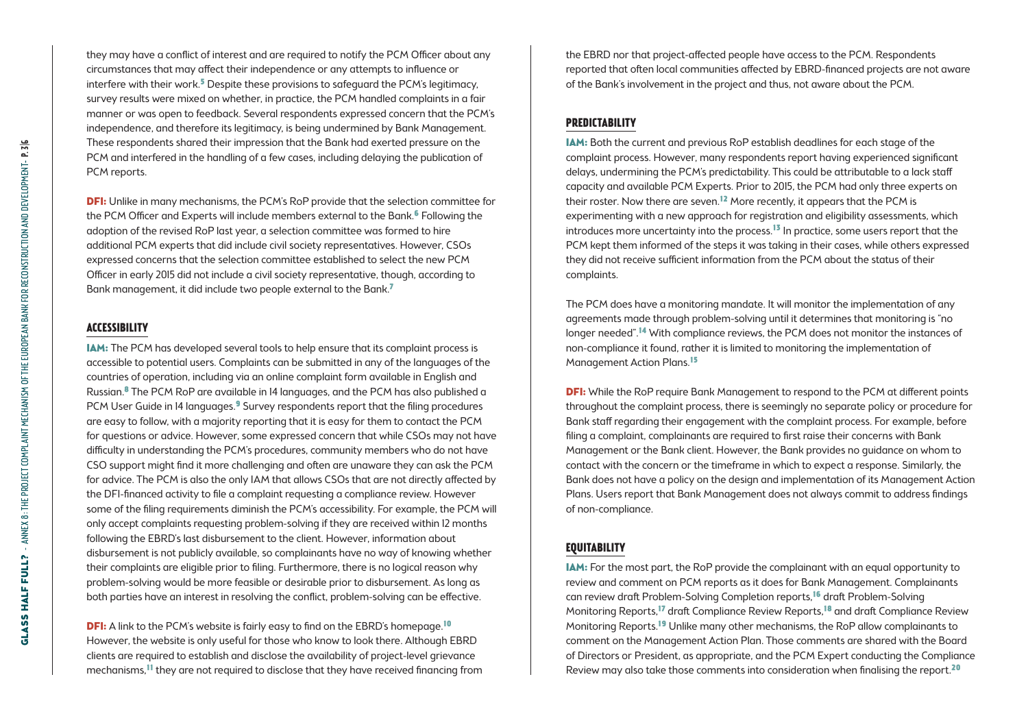they may have a conflict of interest and are required to notify the PCM Officer about any circumstances that may affect their independence or any attempts to influence or interfere with their work.<sup>5</sup> Despite these provisions to safeguard the PCM's legitimacy, survey results were mixed on whether, in practice, the PCM handled complaints in a fair manner or was open to feedback. Several respondents expressed concern that the PCM's independence, and therefore its legitimacy, is being undermined by Bank Management. These respondents shared their impression that the Bank had exerted pressure on the PCM and interfered in the handling of a few cases, including delaying the publication of PCM reports.

**DFI:** Unlike in many mechanisms, the PCM's RoP provide that the selection committee for the PCM Officer and Experts will include members external to the Bank.<sup>6</sup> Following the adoption of the revised RoP last year, a selection committee was formed to hire additional PCM experts that did include civil society representatives. However, CSOs expressed concerns that the selection committee established to select the new PCM Officer in early 2015 did not include a civil society representative, though, according to Bank management, it did include two people external to the Bank.7

#### **Accessibility**

IAM: The PCM has developed several tools to help ensure that its complaint process is accessible to potential users. Complaints can be submitted in any of the languages of the countries of operation, including via an online complaint form available in English and Russian.8 The PCM RoP are available in 14 languages, and the PCM has also published a PCM User Guide in 14 languages.<sup>9</sup> Survey respondents report that the filing procedures are easy to follow, with a majority reporting that it is easy for them to contact the PCM for questions or advice. However, some expressed concern that while CSOs may not have difficulty in understanding the PCM's procedures, community members who do not have CSO support might find it more challenging and often are unaware they can ask the PCM for advice. The PCM is also the only IAM that allows CSOs that are not directly affected by the DFI-financed activity to file a complaint requesting a compliance review. However some of the filing requirements diminish the PCM's accessibility. For example, the PCM will only accept complaints requesting problem-solving if they are received within 12 months following the EBRD's last disbursement to the client. However, information about disbursement is not publicly available, so complainants have no way of knowing whether their complaints are eligible prior to filing. Furthermore, there is no logical reason why problem-solving would be more feasible or desirable prior to disbursement. As long as both parties have an interest in resolving the conflict, problem-solving can be effective.

**DFI:** A link to the PCM's website is fairly easy to find on the EBRD's homepage.<sup>10</sup> However, the website is only useful for those who know to look there. Although EBRD clients are required to establish and disclose the availability of project-level grievance mechanisms,11 they are not required to disclose that they have received financing from the EBRD nor that project-affected people have access to the PCM. Respondents reported that often local communities affected by EBRD-financed projects are not aware of the Bank's involvement in the project and thus, not aware about the PCM.

#### **Predictability**

IAM: Both the current and previous RoP establish deadlines for each stage of the complaint process. However, many respondents report having experienced significant delays, undermining the PCM's predictability. This could be attributable to a lack staff capacity and available PCM Experts. Prior to 2015, the PCM had only three experts on their roster. Now there are seven.<sup>12</sup> More recently, it appears that the PCM is experimenting with a new approach for registration and eligibility assessments, which introduces more uncertainty into the process.<sup>13</sup> In practice, some users report that the PCM kept them informed of the steps it was taking in their cases, while others expressed they did not receive sufficient information from the PCM about the status of their complaints.

The PCM does have a monitoring mandate. It will monitor the implementation of any agreements made through problem-solving until it determines that monitoring is "no longer needed".14 With compliance reviews, the PCM does not monitor the instances of non-compliance it found, rather it is limited to monitoring the implementation of Management Action Plans.15

**DFI:** While the RoP require Bank Management to respond to the PCM at different points throughout the complaint process, there is seemingly no separate policy or procedure for Bank staff regarding their engagement with the complaint process. For example, before filing a complaint, complainants are required to first raise their concerns with Bank Management or the Bank client. However, the Bank provides no guidance on whom to contact with the concern or the timeframe in which to expect a response. Similarly, the Bank does not have a policy on the design and implementation of its Management Action Plans. Users report that Bank Management does not always commit to address findings of non-compliance.

#### **Equitability**

IAM: For the most part, the RoP provide the complainant with an equal opportunity to review and comment on PCM reports as it does for Bank Management. Complainants can review draft Problem-Solving Completion reports,16 draft Problem-Solving Monitoring Reports,17 draft Compliance Review Reports,18 and draft Compliance Review Monitoring Reports.19 Unlike many other mechanisms, the RoP allow complainants to comment on the Management Action Plan. Those comments are shared with the Board of Directors or President, as appropriate, and the PCM Expert conducting the Compliance Review may also take those comments into consideration when finalising the report.20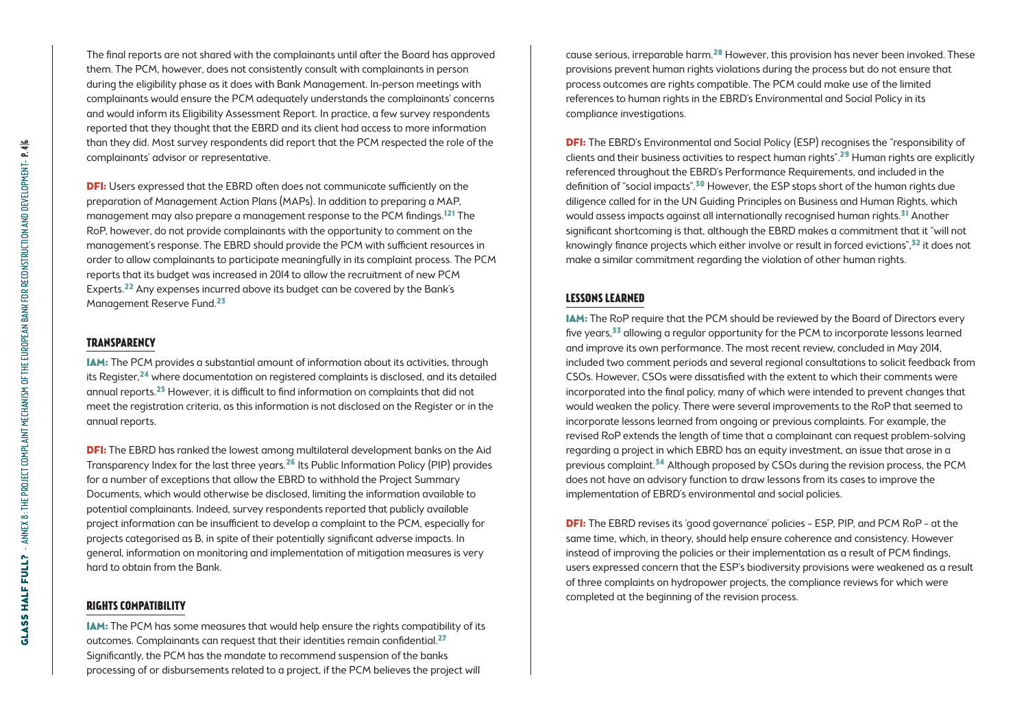**GLASS HALF FULL?** - ANNEX 8: THE PROJECT COMPLAINT MECHANISM OF THE EUROPEAN BANK FOR RECONSTRUCTION AND DEVELOPMENT- P. 4/6 GLASS HALF FULL? - ANNEX 8: THE PROJECT COMPLAINT MECHANISM OF THE EUROPEAN BANK FOR RECONSTRUCTION AND DEVELOPMENT- P. 4|6

The final reports are not shared with the complainants until after the Board has approved them. The PCM, however, does not consistently consult with complainants in person during the eligibility phase as it does with Bank Management. In-person meetings with complainants would ensure the PCM adequately understands the complainants' concerns and would inform its Eligibility Assessment Report. In practice, a few survey respondents reported that they thought that the EBRD and its client had access to more information than they did. Most survey respondents did report that the PCM respected the role of the complainants' advisor or representative.

**DFI:** Users expressed that the EBRD often does not communicate sufficiently on the preparation of Management Action Plans (MAPs). In addition to preparing a MAP, management may also prepare a management response to the PCM findings.121 The RoP, however, do not provide complainants with the opportunity to comment on the management's response. The EBRD should provide the PCM with sufficient resources in order to allow complainants to participate meaningfully in its complaint process. The PCM reports that its budget was increased in 2014 to allow the recruitment of new PCM Experts.<sup>22</sup> Any expenses incurred above its budget can be covered by the Bank's Management Reserve Fund.23

#### **Transparency**

IAM: The PCM provides a substantial amount of information about its activities, through its Register,<sup>24</sup> where documentation on registered complaints is disclosed, and its detailed annual reports.25 However, it is difficult to find information on complaints that did not meet the registration criteria, as this information is not disclosed on the Register or in the annual reports.

**DFI:** The EBRD has ranked the lowest among multilateral development banks on the Aid Transparency Index for the last three years.26 Its Public Information Policy (PIP) provides for a number of exceptions that allow the EBRD to withhold the Project Summary Documents, which would otherwise be disclosed, limiting the information available to potential complainants. Indeed, survey respondents reported that publicly available project information can be insufficient to develop a complaint to the PCM, especially for projects categorised as B, in spite of their potentially significant adverse impacts. In general, information on monitoring and implementation of mitigation measures is very hard to obtain from the Bank.

#### **Rights compatibility**

IAM: The PCM has some measures that would help ensure the rights compatibility of its outcomes. Complainants can request that their identities remain confidential.<sup>27</sup> Significantly, the PCM has the mandate to recommend suspension of the banks processing of or disbursements related to a project, if the PCM believes the project will

cause serious, irreparable harm.28 However, this provision has never been invoked. These provisions prevent human rights violations during the process but do not ensure that process outcomes are rights compatible. The PCM could make use of the limited references to human rights in the EBRD's Environmental and Social Policy in its compliance investigations.

**DFI:** The EBRD's Environmental and Social Policy (ESP) recognises the "responsibility of clients and their business activities to respect human rights".<sup>29</sup> Human rights are explicitly referenced throughout the EBRD's Performance Requirements, and included in the definition of "social impacts".30 However, the ESP stops short of the human rights due diligence called for in the UN Guiding Principles on Business and Human Rights, which would assess impacts against all internationally recognised human rights.<sup>31</sup> Another significant shortcoming is that, although the EBRD makes a commitment that it "will not knowingly finance projects which either involve or result in forced evictions", $32$  it does not make a similar commitment regarding the violation of other human rights.

#### **Lessons learned**

IAM: The RoP require that the PCM should be reviewed by the Board of Directors every five years,<sup>33</sup> allowing a regular opportunity for the PCM to incorporate lessons learned and improve its own performance. The most recent review, concluded in May 2014, included two comment periods and several regional consultations to solicit feedback from CSOs. However, CSOs were dissatisfied with the extent to which their comments were incorporated into the final policy, many of which were intended to prevent changes that would weaken the policy. There were several improvements to the RoP that seemed to incorporate lessons learned from ongoing or previous complaints. For example, the revised RoP extends the length of time that a complainant can request problem-solving regarding a project in which EBRD has an equity investment, an issue that arose in a previous complaint.<sup>34</sup> Although proposed by CSOs during the revision process, the PCM does not have an advisory function to draw lessons from its cases to improve the implementation of EBRD's environmental and social policies.

DFI: The EBRD revises its 'good governance' policies – ESP, PIP, and PCM RoP – at the same time, which, in theory, should help ensure coherence and consistency. However instead of improving the policies or their implementation as a result of PCM findings, users expressed concern that the ESP's biodiversity provisions were weakened as a result of three complaints on hydropower projects, the compliance reviews for which were completed at the beginning of the revision process.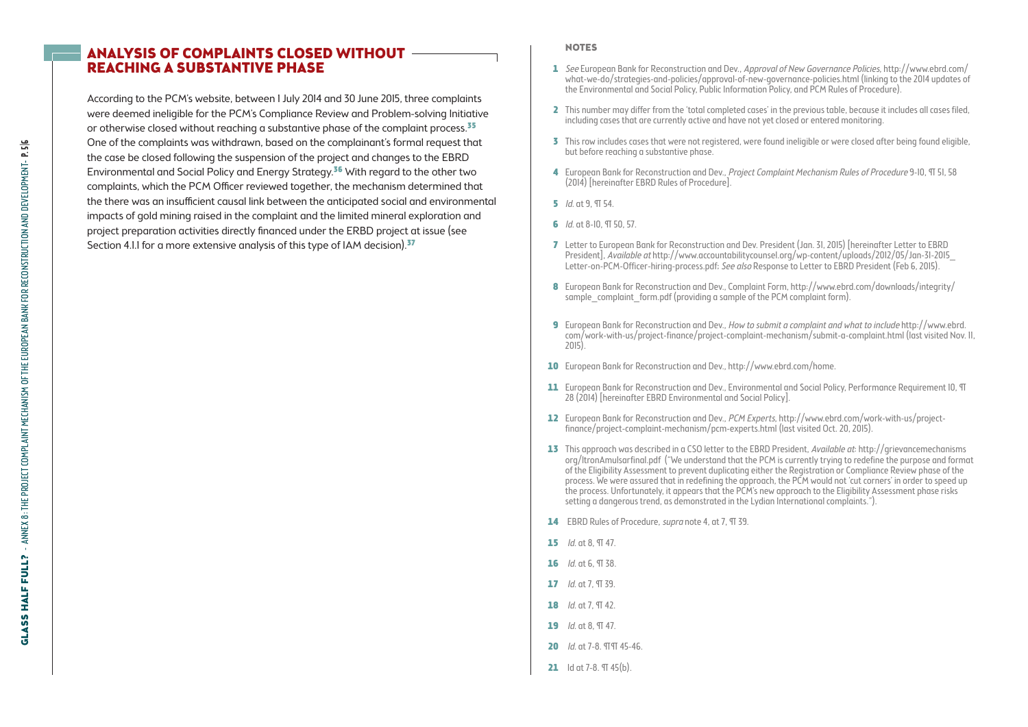### Analysis of Complaints Closed without Reaching a Substantive Phase

According to the PCM's website, between 1 July 2014 and 30 June 2015, three complaints were deemed ineligible for the PCM's Compliance Review and Problem-solving Initiative or otherwise closed without reaching a substantive phase of the complaint process.<sup>35</sup> One of the complaints was withdrawn, based on the complainant's formal request that the case be closed following the suspension of the project and changes to the EBRD Environmental and Social Policy and Energy Strategy.36 With regard to the other two complaints, which the PCM Officer reviewed together, the mechanism determined that the there was an insufficient causal link between the anticipated social and environmental impacts of gold mining raised in the complaint and the limited mineral exploration and project preparation activities directly financed under the ERBD project at issue (see Section 4.1.1 for a more extensive analysis of this type of IAM decision).<sup>37</sup>

#### **NOTES**

- 1 See European Bank for Reconstruction and Dev., Approval of New Governance Policies, http://www.ebrd.com/ what-we-do/strategies-and-policies/approval-of-new-governance-policies.html (linking to the 2014 updates of the Environmental and Social Policy, Public Information Policy, and PCM Rules of Procedure).
- 2 This number may differ from the 'total completed cases' in the previous table, because it includes all cases filed, including cases that are currently active and have not yet closed or entered monitoring.
- 3 This row includes cases that were not registered, were found ineligible or were closed after being found eligible, but before reaching a substantive phase.
- 4 European Bank for Reconstruction and Dev., Project Complaint Mechanism Rules of Procedure 9-10, 9T 51, 58 (2014) [hereinafter EBRD Rules of Procedure].
- 5 Id. at 9, ¶ 54.
- 6 *Id.* at 8-10, T 50, 57.
- 7 Letter to European Bank for Reconstruction and Dev. President (Jan. 31, 2015) [hereinafter Letter to EBRD President], Available at http://www.accountabilitycounsel.org/wp-content/uploads/2012/05/Jan-31-2015\_ Letter-on-PCM-Officer-hiring-process.pdf; See also Response to Letter to EBRD President (Feb 6, 2015).
- 8 European Bank for Reconstruction and Dev., Complaint Form, http://www.ebrd.com/downloads/integrity/ sample\_complaint\_form.pdf (providing a sample of the PCM complaint form).
- 9 European Bank for Reconstruction and Dev., How to submit a complaint and what to include http://www.ebrd. com/work-with-us/project-finance/project-complaint-mechanism/submit-a-complaint.html (last visited Nov. 11, 2015).
- 10 European Bank for Reconstruction and Dev., http://www.ebrd.com/home.
- 11 European Bank for Reconstruction and Dev., Environmental and Social Policy, Performance Requirement 10, TT 28 (2014) [hereinafter EBRD Environmental and Social Policy].
- 12 European Bank for Reconstruction and Dev., PCM Experts, http://www.ebrd.com/work-with-us/projectfinance/project-complaint-mechanism/pcm-experts.html (last visited Oct. 20, 2015).
- 13 This approach was described in a CSO letter to the EBRD President, Available at: http://grievancemechanisms org/ltronAmulsarfinal.pdf ("We understand that the PCM is currently trying to redefine the purpose and format of the Eligibility Assessment to prevent duplicating either the Registration or Compliance Review phase of the process. We were assured that in redefining the approach, the PCM would not 'cut corners' in order to speed up the process. Unfortunately, it appears that the PCM's new approach to the Eligibility Assessment phase risks setting a dangerous trend, as demonstrated in the Lydian International complaints.").
- 14 EBRD Rules of Procedure, *supra* note 4, at 7, TT 39.
- 15  $Id$  nt 8,  $\Pi$  47
- $16$  *Id.* at 6,  $97,38$ .
- $17$  *Id.* at 7,  $97, 39$ .
- 18  $Id$  nt 7  $\P$  42
- 19 *Id.* at 8,  $\Pi$  47.
- 20 *Id.* at 7-8. 99 45-46.
- 21  $Id$  at 7-8.  $\Pi$  45 $(b)$ .